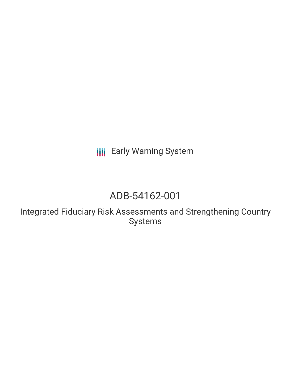**III** Early Warning System

## ADB-54162-001

Integrated Fiduciary Risk Assessments and Strengthening Country Systems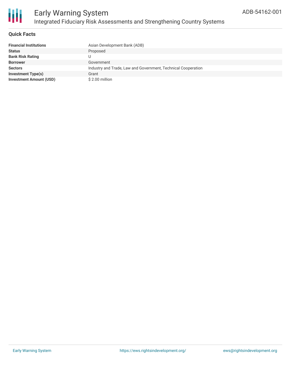

#### **Quick Facts**

| <b>Financial Institutions</b>  | Asian Development Bank (ADB)                                  |
|--------------------------------|---------------------------------------------------------------|
| <b>Status</b>                  | Proposed                                                      |
| <b>Bank Risk Rating</b>        | U                                                             |
| <b>Borrower</b>                | Government                                                    |
| <b>Sectors</b>                 | Industry and Trade, Law and Government, Technical Cooperation |
| <b>Investment Type(s)</b>      | Grant                                                         |
| <b>Investment Amount (USD)</b> | \$2.00 million                                                |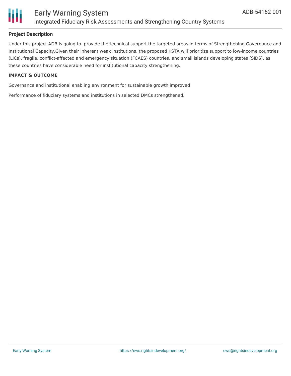

#### **Project Description**

Under this project ADB is going to provide the technical support the targeted areas in terms of Strengthening Governance and Institutional Capacity.Given their inherent weak institutions, the proposed KSTA will prioritize support to low-income countries (LICs), fragile, conflict-affected and emergency situation (FCAES) countries, and small islands developing states (SIDS), as these countries have considerable need for institutional capacity strengthening.

#### **IMPACT & OUTCOME**

Governance and institutional enabling environment for sustainable growth improved

Performance of fiduciary systems and institutions in selected DMCs strengthened.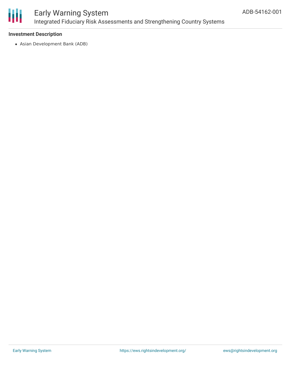

### Early Warning System Integrated Fiduciary Risk Assessments and Strengthening Country Systems

#### **Investment Description**

Asian Development Bank (ADB)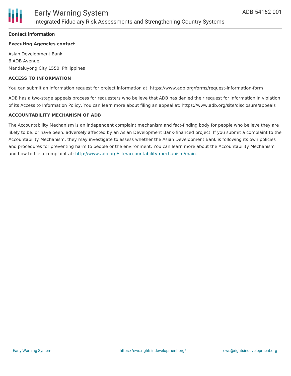

#### **Contact Information**

#### **Executing Agencies contact**

Asian Development Bank 6 ADB Avenue, Mandaluyong City 1550, Philippines

#### **ACCESS TO INFORMATION**

You can submit an information request for project information at: https://www.adb.org/forms/request-information-form

ADB has a two-stage appeals process for requesters who believe that ADB has denied their request for information in violation of its Access to Information Policy. You can learn more about filing an appeal at: https://www.adb.org/site/disclosure/appeals

#### **ACCOUNTABILITY MECHANISM OF ADB**

The Accountability Mechanism is an independent complaint mechanism and fact-finding body for people who believe they are likely to be, or have been, adversely affected by an Asian Development Bank-financed project. If you submit a complaint to the Accountability Mechanism, they may investigate to assess whether the Asian Development Bank is following its own policies and procedures for preventing harm to people or the environment. You can learn more about the Accountability Mechanism and how to file a complaint at: <http://www.adb.org/site/accountability-mechanism/main>.